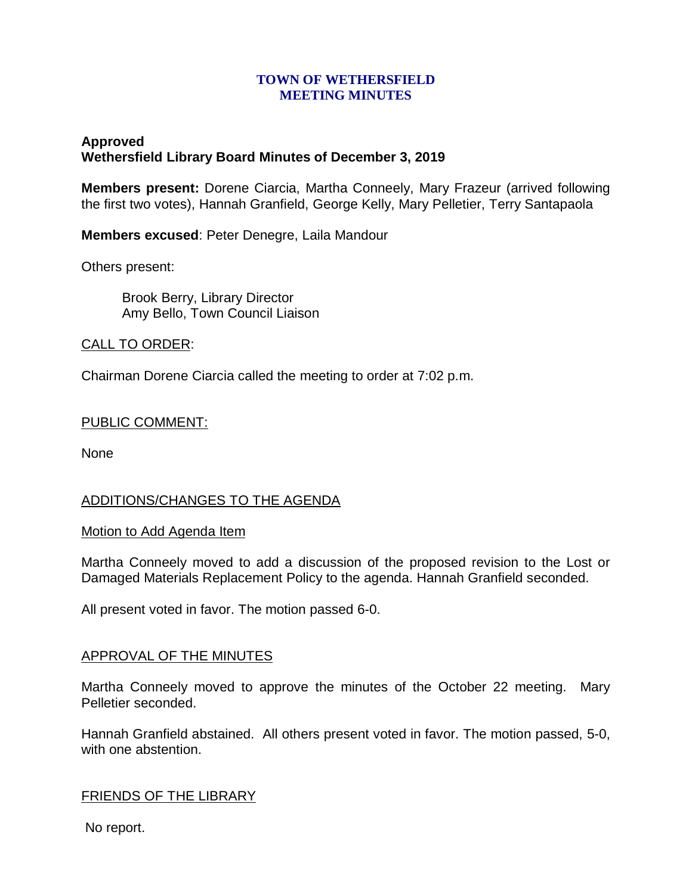### **TOWN OF WETHERSFIELD MEETING MINUTES**

# **Approved Wethersfield Library Board Minutes of December 3, 2019**

**Members present:** Dorene Ciarcia, Martha Conneely, Mary Frazeur (arrived following the first two votes), Hannah Granfield, George Kelly, Mary Pelletier, Terry Santapaola

**Members excused**: Peter Denegre, Laila Mandour

Others present:

Brook Berry, Library Director Amy Bello, Town Council Liaison

# CALL TO ORDER:

Chairman Dorene Ciarcia called the meeting to order at 7:02 p.m.

### PUBLIC COMMENT:

None

# ADDITIONS/CHANGES TO THE AGENDA

#### Motion to Add Agenda Item

Martha Conneely moved to add a discussion of the proposed revision to the Lost or Damaged Materials Replacement Policy to the agenda. Hannah Granfield seconded.

All present voted in favor. The motion passed 6-0.

# APPROVAL OF THE MINUTES

Martha Conneely moved to approve the minutes of the October 22 meeting. Mary Pelletier seconded.

Hannah Granfield abstained. All others present voted in favor. The motion passed, 5-0, with one abstention.

# FRIENDS OF THE LIBRARY

No report.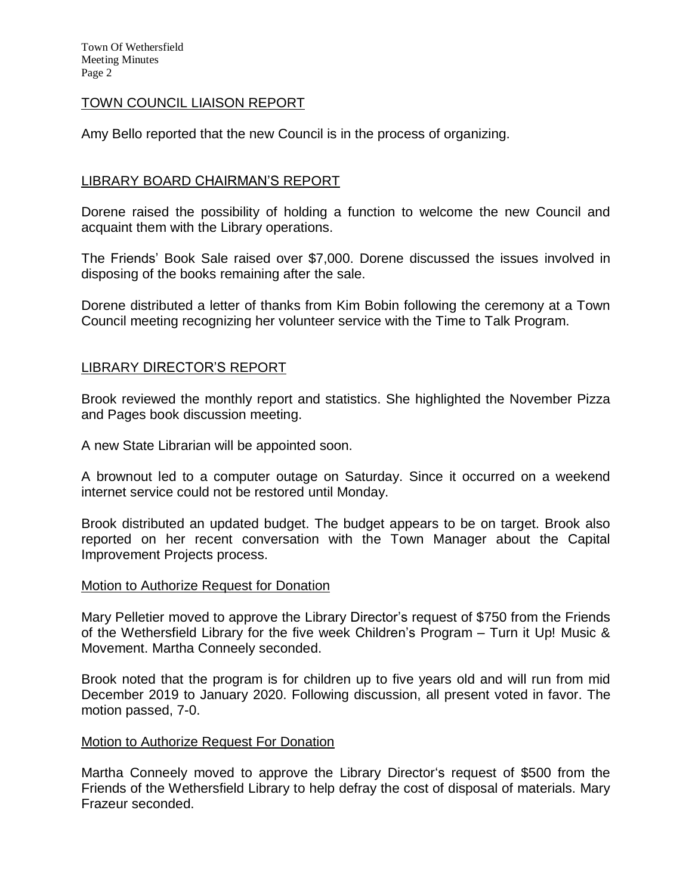### TOWN COUNCIL LIAISON REPORT

Amy Bello reported that the new Council is in the process of organizing.

### LIBRARY BOARD CHAIRMAN'S REPORT

Dorene raised the possibility of holding a function to welcome the new Council and acquaint them with the Library operations.

The Friends' Book Sale raised over \$7,000. Dorene discussed the issues involved in disposing of the books remaining after the sale.

Dorene distributed a letter of thanks from Kim Bobin following the ceremony at a Town Council meeting recognizing her volunteer service with the Time to Talk Program.

### LIBRARY DIRECTOR'S REPORT

Brook reviewed the monthly report and statistics. She highlighted the November Pizza and Pages book discussion meeting.

A new State Librarian will be appointed soon.

A brownout led to a computer outage on Saturday. Since it occurred on a weekend internet service could not be restored until Monday.

Brook distributed an updated budget. The budget appears to be on target. Brook also reported on her recent conversation with the Town Manager about the Capital Improvement Projects process.

#### Motion to Authorize Request for Donation

Mary Pelletier moved to approve the Library Director's request of \$750 from the Friends of the Wethersfield Library for the five week Children's Program – Turn it Up! Music & Movement. Martha Conneely seconded.

Brook noted that the program is for children up to five years old and will run from mid December 2019 to January 2020. Following discussion, all present voted in favor. The motion passed, 7-0.

#### Motion to Authorize Request For Donation

Martha Conneely moved to approve the Library Director's request of \$500 from the Friends of the Wethersfield Library to help defray the cost of disposal of materials. Mary Frazeur seconded.